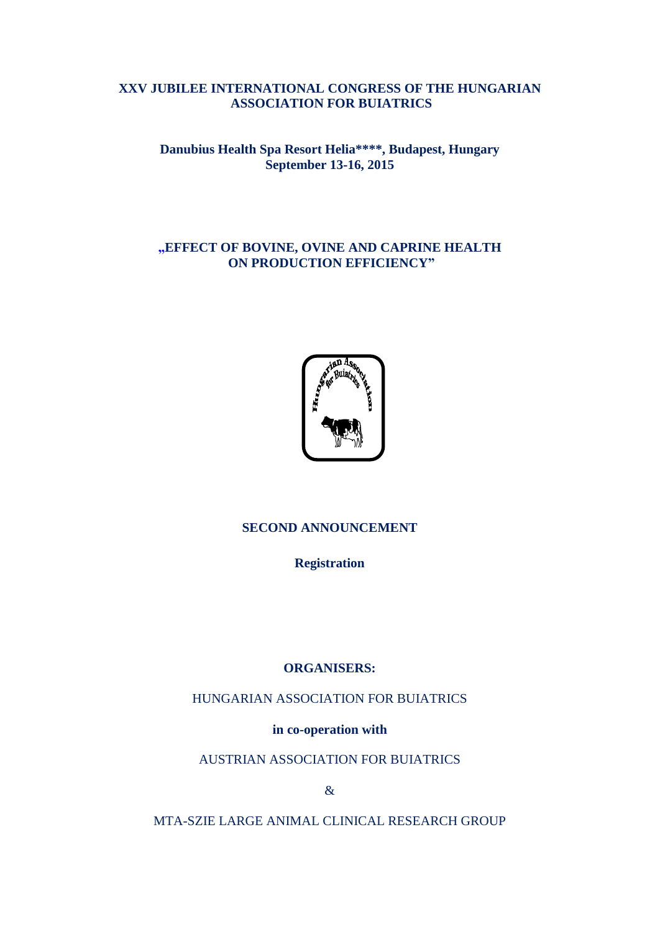## **XXV JUBILEE INTERNATIONAL CONGRESS OF THE HUNGARIAN ASSOCIATION FOR BUIATRICS**

## **[Danubius Health Spa Resort Helia\\*](http://www.danubiushotels.hu/szallodak-budapest/danubius-health-spa-resort-helia?sid=3ra3bc1k5tq5cmjoo6thfqfqj5)\*\*\*, Budapest, Hungary September 13-16, 2015**

## **"EFFECT OF BOVINE, OVINE AND CAPRINE HEALTH ON PRODUCTION EFFICIENCY"**



## **SECOND ANNOUNCEMENT**

**Registration**

### **ORGANISERS:**

HUNGARIAN ASSOCIATION FOR BUIATRICS

**in co-operation with**

AUSTRIAN ASSOCIATION FOR BUIATRICS

&

MTA-SZIE LARGE ANIMAL CLINICAL RESEARCH GROUP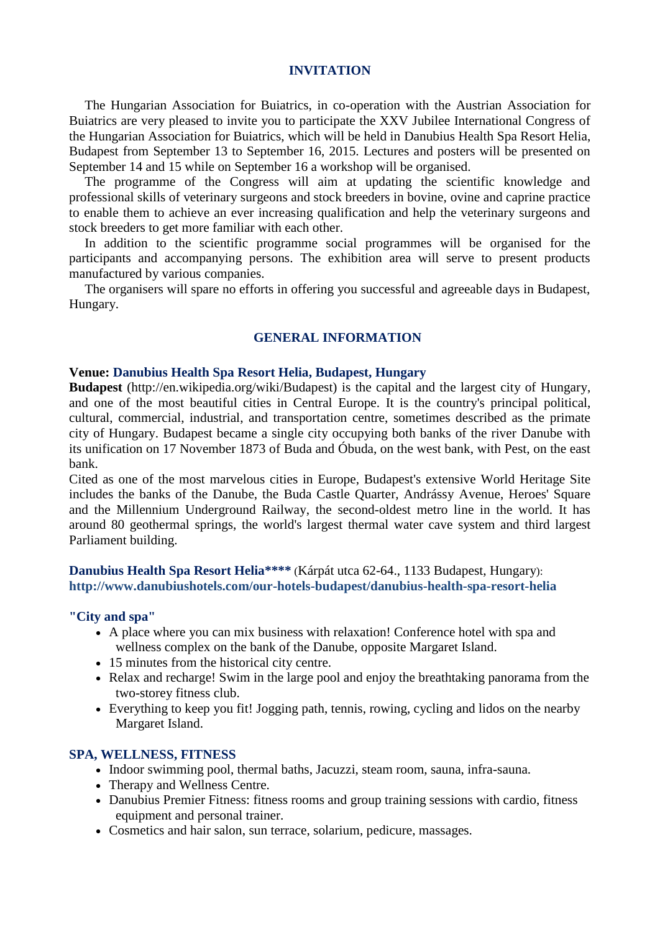#### **INVITATION**

The Hungarian Association for Buiatrics, in co-operation with the Austrian Association for Buiatrics are very pleased to invite you to participate the XXV Jubilee International Congress of the Hungarian Association for Buiatrics, which will be held in [Danubius Health Spa Resort Helia,](http://www.danubiushotels.hu/szallodak-budapest/danubius-health-spa-resort-helia?sid=3ra3bc1k5tq5cmjoo6thfqfqj5) Budapest from September 13 to September 16, 2015. Lectures and posters will be presented on September 14 and 15 while on September 16 a workshop will be organised.

The programme of the Congress will aim at updating the scientific knowledge and professional skills of veterinary surgeons and stock breeders in bovine, ovine and caprine practice to enable them to achieve an ever increasing qualification and help the veterinary surgeons and stock breeders to get more familiar with each other.

In addition to the scientific programme social programmes will be organised for the participants and accompanying persons. The exhibition area will serve to present products manufactured by various companies.

The organisers will spare no efforts in offering you successful and agreeable days in Budapest, Hungary.

### **GENERAL INFORMATION**

#### **Venue: [Danubius Health Spa Resort Helia,](http://www.danubiushotels.hu/szallodak-budapest/danubius-health-spa-resort-helia?sid=3ra3bc1k5tq5cmjoo6thfqfqj5) Budapest, Hungary**

**Budapest** (http://en.wikipedia.org/wiki/Budapest) is the capital and the largest city of [Hungary,](http://en.wikipedia.org/wiki/Hungary) and [one of the most beautiful cities](http://en.wikipedia.org/wiki/Largest_cities_of_the_European_Union_by_population_within_city_limits) in [Central Europe.](http://en.wikipedia.org/wiki/Central_Europe) It is the country's principal [political,](http://en.wikipedia.org/wiki/Political) [cultural,](http://en.wikipedia.org/wiki/Cultural) [commercial,](http://en.wikipedia.org/wiki/Commerce) [industrial,](http://en.wikipedia.org/wiki/Industry) and [transportation](http://en.wikipedia.org/wiki/Transportation) centre, sometimes described as the [primate](http://en.wikipedia.org/wiki/Primate_city)  [city](http://en.wikipedia.org/wiki/Primate_city) of Hungary. Budapest became a single city occupying both banks of the river [Danube](http://en.wikipedia.org/wiki/Danube) with its unification on 17 November 1873 of [Buda](http://en.wikipedia.org/wiki/Buda) and [Óbuda,](http://en.wikipedia.org/wiki/%C3%93buda) on the west bank, with [Pest,](http://en.wikipedia.org/wiki/Pest_(city)) on the east bank.

Cited as one of the most marvelous cities in [Europe,](http://en.wikipedia.org/wiki/Europe) Budapest's extensive [World Heritage Site](http://en.wikipedia.org/wiki/World_Heritage_Site) includes the banks of the [Danube,](http://en.wikipedia.org/wiki/Danube) the [Buda Castle](http://en.wikipedia.org/wiki/Buda_Castle) Quarter, [Andrássy Avenue,](http://en.wikipedia.org/wiki/Andr%C3%A1ssy_Avenue) [Heroes' Square](http://en.wikipedia.org/wiki/H%C5%91s%C3%B6k_tere) and the [Millennium Underground Railway,](http://en.wikipedia.org/wiki/Line_1_(Budapest_Metro)) the second-oldest [metro line](http://en.wikipedia.org/wiki/Rapid_transit) in the world. It has around 80 geothermal [springs,](http://en.wikipedia.org/wiki/Sz%C3%A9chenyi_Medicinal_Bath) the world's largest thermal water cave system and third largest [Parliament](http://en.wikipedia.org/wiki/Hungarian_Parliament_Building) building.

**[Danubius Health Spa Resort Helia\\*](http://www.danubiushotels.hu/szallodak-budapest/danubius-health-spa-resort-helia?sid=3ra3bc1k5tq5cmjoo6thfqfqj5)\*\*\*** (Kárpát utca 62-64., 1133 Budapest, Hungary): **http://www.danubiushotels.com/our-hotels-budapest/danubius-health-spa-resort-helia**

#### **"City and spa"**

- A place where you can mix business with relaxation! Conference hotel with spa and wellness complex on the bank of the Danube, opposite Margaret Island.
- 15 minutes from the historical city centre.
- Relax and recharge! Swim in the large pool and enjoy the breathtaking panorama from the two-storey fitness club.
- Everything to keep you fit! Jogging path, tennis, rowing, cycling and lidos on the nearby Margaret Island.

#### **SPA, WELLNESS, FITNESS**

- Indoor swimming pool, thermal baths, Jacuzzi, steam room, sauna, infra-sauna.
- Therapy and Wellness Centre.
- Danubius Premier Fitness: fitness rooms and group training sessions with cardio, fitness equipment and personal trainer.
- Cosmetics and hair salon, sun terrace, solarium, pedicure, massages.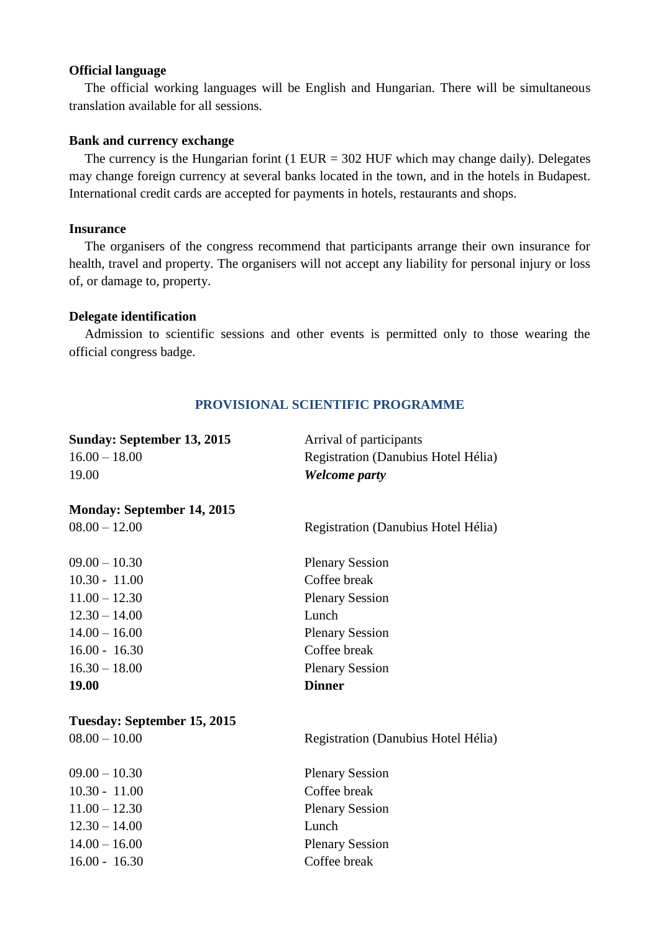### **Official language**

The official working languages will be English and Hungarian. There will be simultaneous translation available for all sessions.

## **Bank and currency exchange**

The currency is the Hungarian form  $(1 \text{ EUR} = 302 \text{ HUF}$  which may change daily). Delegates may change foreign currency at several banks located in the town, and in the hotels in Budapest. International credit cards are accepted for payments in hotels, restaurants and shops.

#### **Insurance**

The organisers of the congress recommend that participants arrange their own insurance for health, travel and property. The organisers will not accept any liability for personal injury or loss of, or damage to, property.

#### **Delegate identification**

Admission to scientific sessions and other events is permitted only to those wearing the official congress badge.

### **PROVISIONAL SCIENTIFIC PROGRAMME**

| <b>Sunday: September 13, 2015</b>                                                                                                                                | Arrival of participants                                                                                                                                    |
|------------------------------------------------------------------------------------------------------------------------------------------------------------------|------------------------------------------------------------------------------------------------------------------------------------------------------------|
| $16.00 - 18.00$                                                                                                                                                  | Registration (Danubius Hotel Hélia)                                                                                                                        |
| 19.00                                                                                                                                                            | <b>Welcome party</b>                                                                                                                                       |
| <b>Monday: September 14, 2015</b><br>$08.00 - 12.00$                                                                                                             | Registration (Danubius Hotel Hélia)                                                                                                                        |
| $09.00 - 10.30$                                                                                                                                                  | <b>Plenary Session</b>                                                                                                                                     |
| $10.30 - 11.00$                                                                                                                                                  | Coffee break                                                                                                                                               |
| $11.00 - 12.30$                                                                                                                                                  | <b>Plenary Session</b>                                                                                                                                     |
| $12.30 - 14.00$                                                                                                                                                  | Lunch                                                                                                                                                      |
| $14.00 - 16.00$                                                                                                                                                  | <b>Plenary Session</b>                                                                                                                                     |
| $16.00 - 16.30$                                                                                                                                                  | Coffee break                                                                                                                                               |
| $16.30 - 18.00$                                                                                                                                                  | <b>Plenary Session</b>                                                                                                                                     |
| 19.00                                                                                                                                                            | <b>Dinner</b>                                                                                                                                              |
| Tuesday: September 15, 2015<br>$08.00 - 10.00$<br>$09.00 - 10.30$<br>$10.30 - 11.00$<br>$11.00 - 12.30$<br>$12.30 - 14.00$<br>$14.00 - 16.00$<br>$16.00 - 16.30$ | Registration (Danubius Hotel Hélia)<br><b>Plenary Session</b><br>Coffee break<br><b>Plenary Session</b><br>Lunch<br><b>Plenary Session</b><br>Coffee break |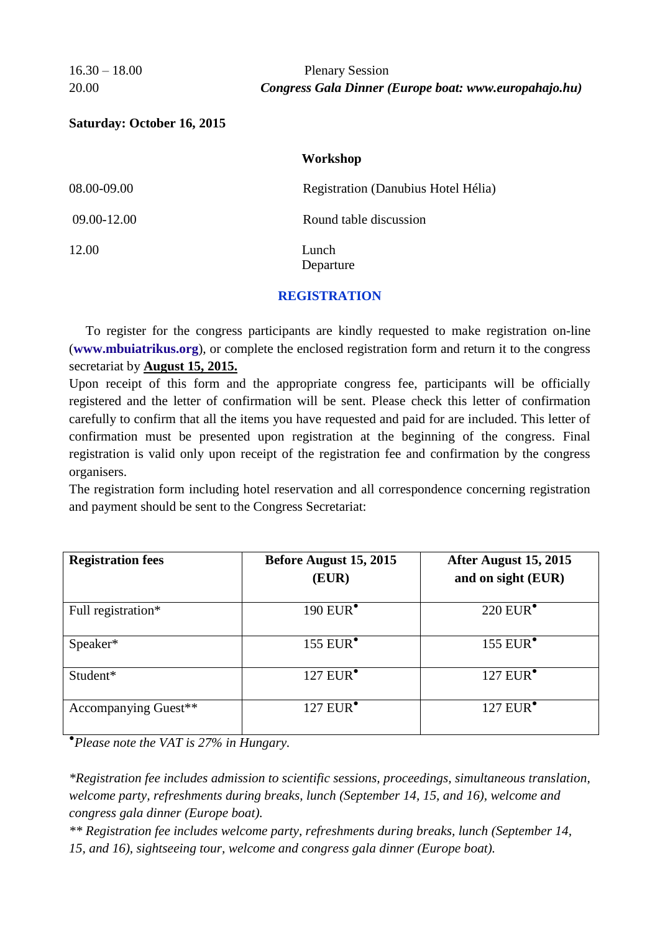## 16.30 – 18.00 Plenary Session 20.00 *Congress Gala Dinner (Europe boat: www.europahajo.hu)*

## **Saturday: October 16, 2015**

#### **Workshop**

| 08.00-09.00 | Registration (Danubius Hotel Hélia) |
|-------------|-------------------------------------|
| 09.00-12.00 | Round table discussion              |
| 12.00       | Lunch<br>Departure                  |

### **REGISTRATION**

 To register for the congress participants are kindly requested to make registration on-line (**[www.mbuiatrikus.org](http://www.mbuiatrikus.org/)**), or complete the enclosed registration form and return it to the congress secretariat by **August 15, 2015.**

Upon receipt of this form and the appropriate congress fee, participants will be officially registered and the letter of confirmation will be sent. Please check this letter of confirmation carefully to confirm that all the items you have requested and paid for are included. This letter of confirmation must be presented upon registration at the beginning of the congress. Final registration is valid only upon receipt of the registration fee and confirmation by the congress organisers.

The registration form including hotel reservation and all correspondence concerning registration and payment should be sent to the Congress Secretariat:

| <b>Registration fees</b> | Before August 15, 2015<br>(EUR) | After August 15, 2015<br>and on sight (EUR) |
|--------------------------|---------------------------------|---------------------------------------------|
|                          |                                 |                                             |
| Full registration*       | 190 $EUR^{\bullet}$             | $220$ EUR $^{\bullet}$                      |
| Speaker*                 | 155 EUR <sup>•</sup>            | 155 EUR $^{\bullet}$                        |
| Student*                 | $127$ EUR $^{\bullet}$          | $127$ EUR $^{\bullet}$                      |
| Accompanying Guest**     | $127$ EUR $^{\bullet}$          | $127$ EUR $^{\bullet}$                      |

● *Please note the VAT is 27% in Hungary.*

*\*Registration fee includes admission to scientific sessions, proceedings, simultaneous translation, welcome party, refreshments during breaks, lunch (September 14, 15, and 16), welcome and congress gala dinner (Europe boat).*

*\*\* Registration fee includes welcome party, refreshments during breaks, lunch (September 14, 15, and 16), sightseeing tour, welcome and congress gala dinner (Europe boat).*